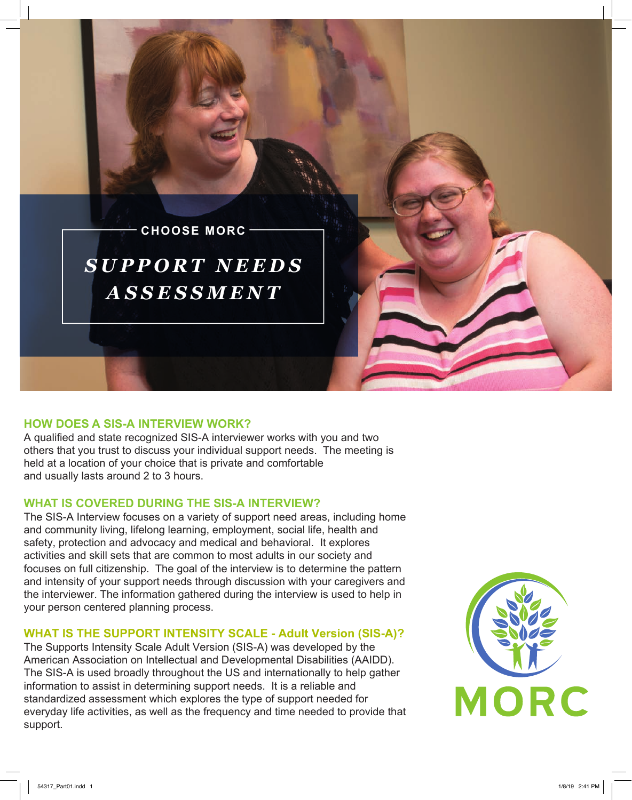

# **HOW DOES A SIS-A INTERVIEW WORK?**

A qualified and state recognized SIS-A interviewer works with you and two others that you trust to discuss your individual support needs. The meeting is held at a location of your choice that is private and comfortable and usually lasts around 2 to 3 hours.

# **WHAT IS COVERED DURING THE SIS-A INTERVIEW?**

The SIS-A Interview focuses on a variety of support need areas, including home and community living, lifelong learning, employment, social life, health and safety, protection and advocacy and medical and behavioral. It explores activities and skill sets that are common to most adults in our society and focuses on full citizenship. The goal of the interview is to determine the pattern and intensity of your support needs through discussion with your caregivers and the interviewer. The information gathered during the interview is used to help in your person centered planning process.

## **WHAT IS THE SUPPORT INTENSITY SCALE - Adult Version (SIS-A)?**

The Supports Intensity Scale Adult Version (SIS-A) was developed by the American Association on Intellectual and Developmental Disabilities (AAIDD). The SIS-A is used broadly throughout the US and internationally to help gather information to assist in determining support needs. It is a reliable and standardized assessment which explores the type of support needed for everyday life activities, as well as the frequency and time needed to provide that support.